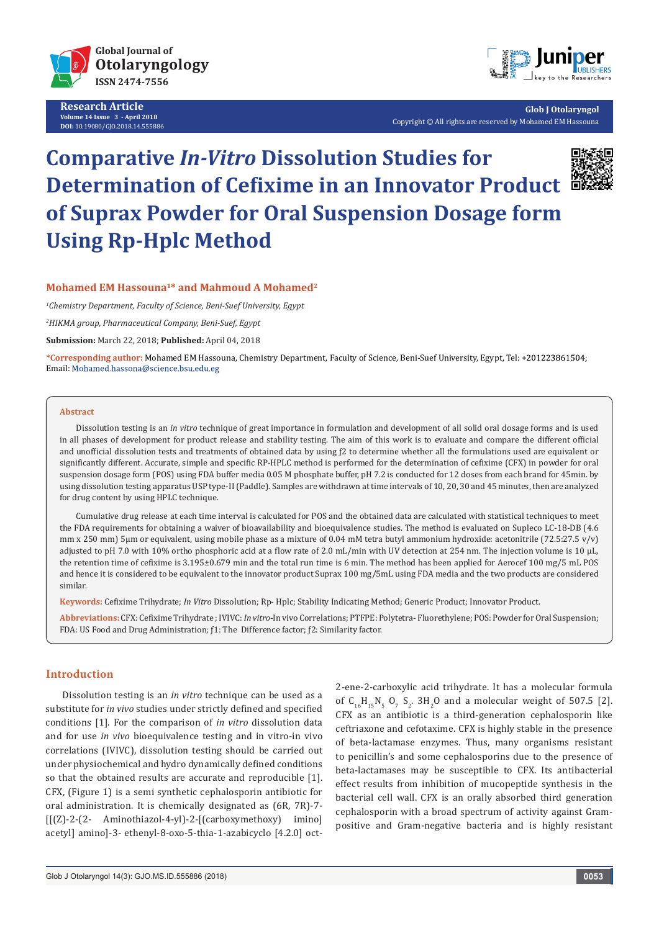

**Research Article Volume 14 Issue 3 - April 2018 DOI:** [10.19080/GJO.2018.14.555886](http://dx.doi.org/10.19080/GJO.2018.14.555886)



**Glob J Otolaryngol** Copyright © All rights are reserved by Mohamed EM Hassouna

# **Comparative** *In-Vitro* **Dissolution Studies for Determination of Cefixime in an Innovator Product of Suprax Powder for Oral Suspension Dosage form Using Rp-Hplc Method**



# **Mohamed EM Hassouna1\* and Mahmoud A Mohamed2**

*1 Chemistry Department, Faculty of Science, Beni-Suef University, Egypt*

*2 HIKMA group, Pharmaceutical Company, Beni-Suef, Egypt*

**Submission:** March 22, 2018; **Published:** April 04, 2018

**\*Corresponding author:** Mohamed EM Hassouna, Chemistry Department, Faculty of Science, Beni-Suef University, Egypt, Tel: + Email: Mohamed.hassona@science.bsu.edu.eg

#### **Abstract**

Dissolution testing is an *in vitro* technique of great importance in formulation and development of all solid oral dosage forms and is used in all phases of development for product release and stability testing. The aim of this work is to evaluate and compare the different official and unofficial dissolution tests and treatments of obtained data by using  $f2$  to determine whether all the formulations used are equivalent or significantly different. Accurate, simple and specific RP-HPLC method is performed for the determination of cefixime (CFX) in powder for oral suspension dosage form (POS) using FDA buffer media 0.05 M phosphate buffer, pH 7.2 is conducted for 12 doses from each brand for 45min. by using dissolution testing apparatus USP type-II (Paddle). Samples are withdrawn at time intervals of 10, 20, 30 and 45 minutes, then are analyzed for drug content by using HPLC technique.

Cumulative drug release at each time interval is calculated for POS and the obtained data are calculated with statistical techniques to meet the FDA requirements for obtaining a waiver of bioavailability and bioequivalence studies. The method is evaluated on Supleco LC-18-DB (4.6 mm x 250 mm) 5µm or equivalent, using mobile phase as a mixture of 0.04 mM tetra butyl ammonium hydroxide: acetonitrile (72.5:27.5 v/v) adjusted to pH 7.0 with 10% ortho phosphoric acid at a flow rate of 2.0 mL/min with UV detection at 254 nm. The injection volume is 10 μL, the retention time of cefixime is 3.195±0.679 min and the total run time is 6 min. The method has been applied for Aerocef 100 mg/5 mL POS and hence it is considered to be equivalent to the innovator product Suprax 100 mg/5mL using FDA media and the two products are considered similar.

**Keywords:** Cefixime Trihydrate; *In Vitro* Dissolution; Rp- Hplc; Stability Indicating Method; Generic Product; Innovator Product.

**Abbreviations:** CFX: Cefixime Trihydrate ; IVIVC: *In vitro*-In vivo Correlations; PTFPE: Polytetra- Fluorethylene; POS: Powder for Oral Suspension; FDA: US Food and Drug Administration; ƒ1: The Difference factor; ƒ2: Similarity factor.

# **Introduction**

Dissolution testing is an *in vitro* technique can be used as a substitute for *in vivo* studies under strictly defined and specified conditions [1]. For the comparison of *in vitro* dissolution data and for use *in vivo* bioequivalence testing and in vitro-in vivo correlations (IVIVC), dissolution testing should be carried out under physiochemical and hydro dynamically defined conditions so that the obtained results are accurate and reproducible [1]. CFX, (Figure 1) is a semi synthetic cephalosporin antibiotic for oral administration. It is chemically designated as (6R, 7R)-7- [[(Z)-2-(2- Aminothiazol-4-yl)-2-[(carboxymethoxy) imino] acetyl] amino]-3- ethenyl-8-oxo-5-thia-1-azabicyclo [4.2.0] oct2-ene-2-carboxylic acid trihydrate. It has a molecular formula of  $C_{16}H_{15}N_5$   $O_7$   $S_2$ .  $3H_2O$  and a molecular weight of 507.5 [2]. CFX as an antibiotic is a third-generation cephalosporin like ceftriaxone and cefotaxime. CFX is highly stable in the presence of beta-lactamase enzymes. Thus, many organisms resistant to penicillin's and some cephalosporins due to the presence of beta-lactamases may be susceptible to CFX. Its antibacterial effect results from inhibition of mucopeptide synthesis in the bacterial cell wall. CFX is an orally absorbed third generation cephalosporin with a broad spectrum of activity against Grampositive and Gram-negative bacteria and is highly resistant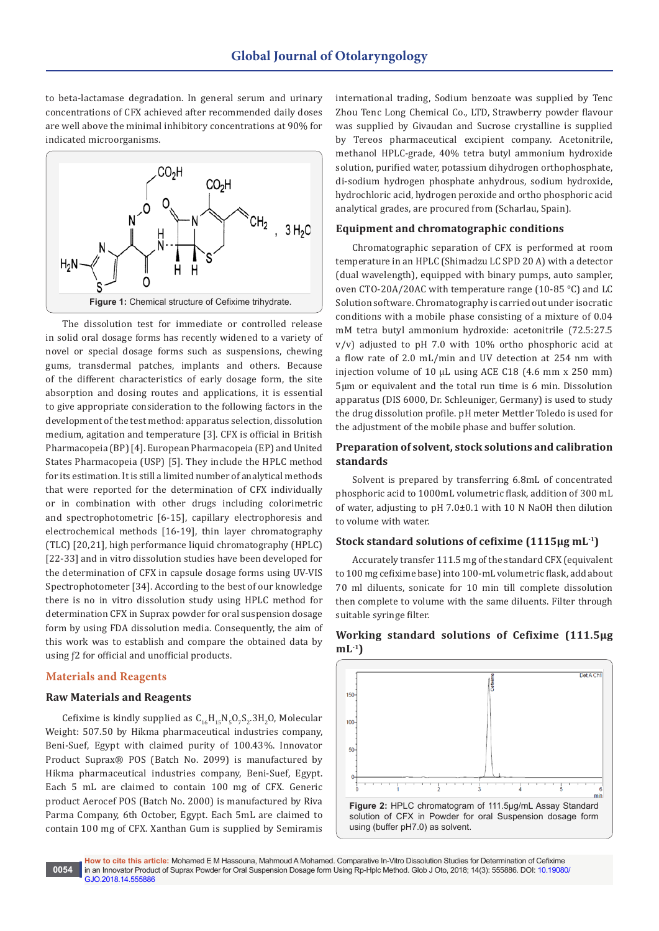to beta-lactamase degradation. In general serum and urinary concentrations of CFX achieved after recommended daily doses are well above the minimal inhibitory concentrations at 90% for indicated microorganisms.



The dissolution test for immediate or controlled release in solid oral dosage forms has recently widened to a variety of novel or special dosage forms such as suspensions, chewing gums, transdermal patches, implants and others. Because of the different characteristics of early dosage form, the site absorption and dosing routes and applications, it is essential to give appropriate consideration to the following factors in the development of the test method: apparatus selection, dissolution medium, agitation and temperature [3]. CFX is official in British Pharmacopeia (BP) [4]. European Pharmacopeia (EP) and United States Pharmacopeia (USP) [5]. They include the HPLC method for its estimation. It is still a limited number of analytical methods that were reported for the determination of CFX individually or in combination with other drugs including colorimetric and spectrophotometric [6-15], capillary electrophoresis and electrochemical methods [16-19], thin layer chromatography (TLC) [20,21], high performance liquid chromatography (HPLC) [22-33] and in vitro dissolution studies have been developed for the determination of CFX in capsule dosage forms using UV-VIS Spectrophotometer [34]. According to the best of our knowledge there is no in vitro dissolution study using HPLC method for determination CFX in Suprax powder for oral suspension dosage form by using FDA dissolution media. Consequently, the aim of this work was to establish and compare the obtained data by using ƒ2 for official and unofficial products.

#### **Materials and Reagents**

### **Raw Materials and Reagents**

Cefixime is kindly supplied as  $C_{16}H_{15}N_5O_7S_2.3H_2O$ , Molecular Weight: 507.50 by Hikma pharmaceutical industries company, Beni-Suef, Egypt with claimed purity of 100.43%. Innovator Product Suprax® POS (Batch No. 2099) is manufactured by Hikma pharmaceutical industries company, Beni-Suef, Egypt. Each 5 mL are claimed to contain 100 mg of CFX. Generic product Aerocef POS (Batch No. 2000) is manufactured by Riva Parma Company, 6th October, Egypt. Each 5mL are claimed to contain 100 mg of CFX. Xanthan Gum is supplied by Semiramis

international trading, Sodium benzoate was supplied by Tenc Zhou Tenc Long Chemical Co., LTD, Strawberry powder flavour was supplied by Givaudan and Sucrose crystalline is supplied by Tereos pharmaceutical excipient company. Acetonitrile, methanol HPLC-grade, 40% tetra butyl ammonium hydroxide solution, purified water, potassium dihydrogen orthophosphate, di-sodium hydrogen phosphate anhydrous, sodium hydroxide, hydrochloric acid, hydrogen peroxide and ortho phosphoric acid analytical grades, are procured from (Scharlau, Spain).

#### **Equipment and chromatographic conditions**

Chromatographic separation of CFX is performed at room temperature in an HPLC (Shimadzu LC SPD 20 A) with a detector (dual wavelength), equipped with binary pumps, auto sampler, oven CTO-20A/20AC with temperature range (10-85 °C) and LC Solution software. Chromatography is carried out under isocratic conditions with a mobile phase consisting of a mixture of 0.04 mM tetra butyl ammonium hydroxide: acetonitrile (72.5:27.5 v/v) adjusted to pH 7.0 with 10% ortho phosphoric acid at a flow rate of 2.0 mL/min and UV detection at 254 nm with injection volume of 10 μL using ACE C18 (4.6 mm x 250 mm) 5µm or equivalent and the total run time is 6 min. Dissolution apparatus (DIS 6000, Dr. Schleuniger, Germany) is used to study the drug dissolution profile. pH meter Mettler Toledo is used for the adjustment of the mobile phase and buffer solution.

# **Preparation of solvent, stock solutions and calibration standards**

Solvent is prepared by transferring 6.8mL of concentrated phosphoric acid to 1000mL volumetric flask, addition of 300 mL of water, adjusting to pH 7.0±0.1 with 10 N NaOH then dilution to volume with water.

#### **Stock standard solutions of cefixime (1115μg mL-1)**

Accurately transfer 111.5 mg of the standard CFX (equivalent to 100 mg cefixime base) into 100-mL volumetric flask, add about 70 ml diluents, sonicate for 10 min till complete dissolution then complete to volume with the same diluents. Filter through suitable syringe filter.

# **Working standard solutions of Cefixime (111.5μg mL-1)**



**How to cite this article:** Mohamed E M Hassouna, Mahmoud A Mohamed. Comparative In-Vitro Dissolution Studies for Determination of Cefixime in an Innovator Product of Suprax Powder for Oral Suspension Dosage form Using Rp-Hplc Method. Glob J Oto, 2018; 14(3): 555886. DOI: [10.19080/](http://dx.doi.org/10.19080/GJO.2018.14.555886) [GJO.2018.14.555886](http://dx.doi.org/10.19080/GJO.2018.14.555886)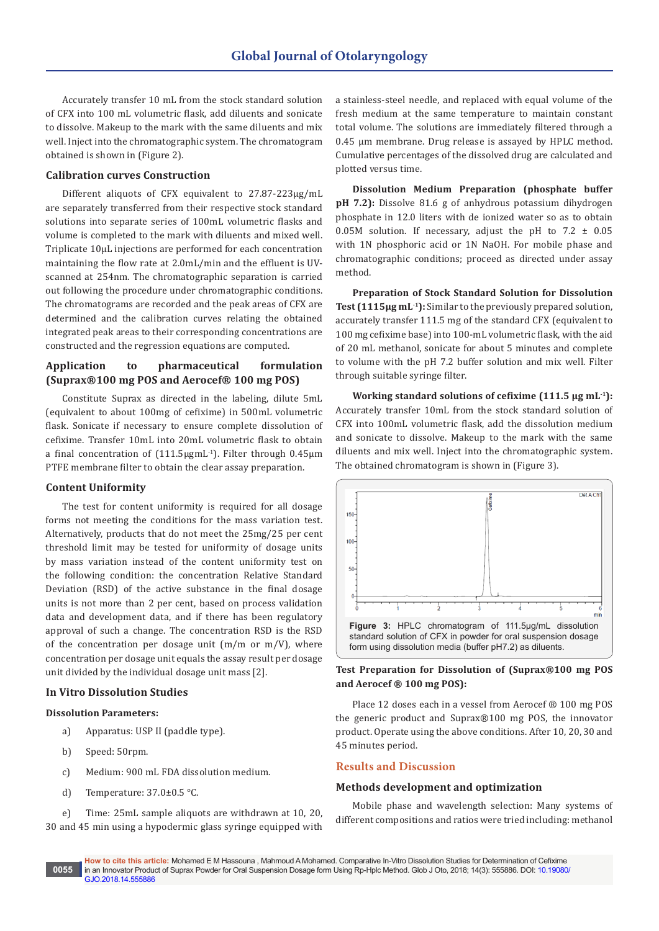Accurately transfer 10 mL from the stock standard solution of CFX into 100 mL volumetric flask, add diluents and sonicate to dissolve. Makeup to the mark with the same diluents and mix well. Inject into the chromatographic system. The chromatogram obtained is shown in (Figure 2).

# **Calibration curves Construction**

Different aliquots of CFX equivalent to 27.87-223µg/mL are separately transferred from their respective stock standard solutions into separate series of 100mL volumetric flasks and volume is completed to the mark with diluents and mixed well. Triplicate 10µL injections are performed for each concentration maintaining the flow rate at 2.0mL/min and the effluent is UVscanned at 254nm. The chromatographic separation is carried out following the procedure under chromatographic conditions. The chromatograms are recorded and the peak areas of CFX are determined and the calibration curves relating the obtained integrated peak areas to their corresponding concentrations are constructed and the regression equations are computed.

# **Application to pharmaceutical formulation (Suprax®100 mg POS and Aerocef® 100 mg POS)**

Constitute Suprax as directed in the labeling, dilute 5mL (equivalent to about 100mg of cefixime) in 500mL volumetric flask. Sonicate if necessary to ensure complete dissolution of cefixime. Transfer 10mL into 20mL volumetric flask to obtain a final concentration of (111.5μgmL-1). Filter through 0.45µm PTFE membrane filter to obtain the clear assay preparation.

## **Content Uniformity**

The test for content uniformity is required for all dosage forms not meeting the conditions for the mass variation test. Alternatively, products that do not meet the 25mg/25 per cent threshold limit may be tested for uniformity of dosage units by mass variation instead of the content uniformity test on the following condition: the concentration Relative Standard Deviation (RSD) of the active substance in the final dosage units is not more than 2 per cent, based on process validation data and development data, and if there has been regulatory approval of such a change. The concentration RSD is the RSD of the concentration per dosage unit  $(m/m \text{ or } m/V)$ , where concentration per dosage unit equals the assay result per dosage unit divided by the individual dosage unit mass [2].

#### **In Vitro Dissolution Studies**

#### **Dissolution Parameters:**

- a) Apparatus: USP II (paddle type).
- b) Speed: 50rpm.
- c) Medium: 900 mL FDA dissolution medium.
- d) Temperature: 37.0±0.5 °C.

e) Time: 25mL sample aliquots are withdrawn at 10, 20, 30 and 45 min using a hypodermic glass syringe equipped with

a stainless-steel needle, and replaced with equal volume of the fresh medium at the same temperature to maintain constant total volume. The solutions are immediately filtered through a 0.45 µm membrane. Drug release is assayed by HPLC method. Cumulative percentages of the dissolved drug are calculated and plotted versus time.

**Dissolution Medium Preparation (phosphate buffer pH 7.2):** Dissolve 81.6 g of anhydrous potassium dihydrogen phosphate in 12.0 liters with de ionized water so as to obtain 0.05M solution. If necessary, adjust the pH to  $7.2 \pm 0.05$ with 1N phosphoric acid or 1N NaOH. For mobile phase and chromatographic conditions; proceed as directed under assay method.

**Preparation of Stock Standard Solution for Dissolution Test (1115μg mL-1):** Similar to the previously prepared solution, accurately transfer 111.5 mg of the standard CFX (equivalent to 100 mg cefixime base) into 100-mL volumetric flask, with the aid of 20 mL methanol, sonicate for about 5 minutes and complete to volume with the pH 7.2 buffer solution and mix well. Filter through suitable syringe filter.

**Working standard solutions of cefixime (111.5 μg mL-1):** Accurately transfer 10mL from the stock standard solution of CFX into 100mL volumetric flask, add the dissolution medium and sonicate to dissolve. Makeup to the mark with the same diluents and mix well. Inject into the chromatographic system. The obtained chromatogram is shown in (Figure 3).



# **Test Preparation for Dissolution of (Suprax®100 mg POS and Aerocef ® 100 mg POS):**

Place 12 doses each in a vessel from Aerocef ® 100 mg POS the generic product and Suprax®100 mg POS, the innovator product. Operate using the above conditions. After 10, 20, 30 and 45 minutes period.

# **Results and Discussion**

## **Methods development and optimization**

Mobile phase and wavelength selection: Many systems of different compositions and ratios were tried including: methanol

**How to cite this article:** Mohamed E M Hassouna , Mahmoud A Mohamed. Comparative In-Vitro Dissolution Studies for Determination of Cefixime in an Innovator Product of Suprax Powder for Oral Suspension Dosage form Using Rp-Hplc Method. Glob J Oto, 2018; 14(3): 555886. DOI: [10.19080/](http://dx.doi.org/10.19080/GJO.2018.14.555886) [GJO.2018.14.555886](http://dx.doi.org/10.19080/GJO.2018.14.555886) **0055**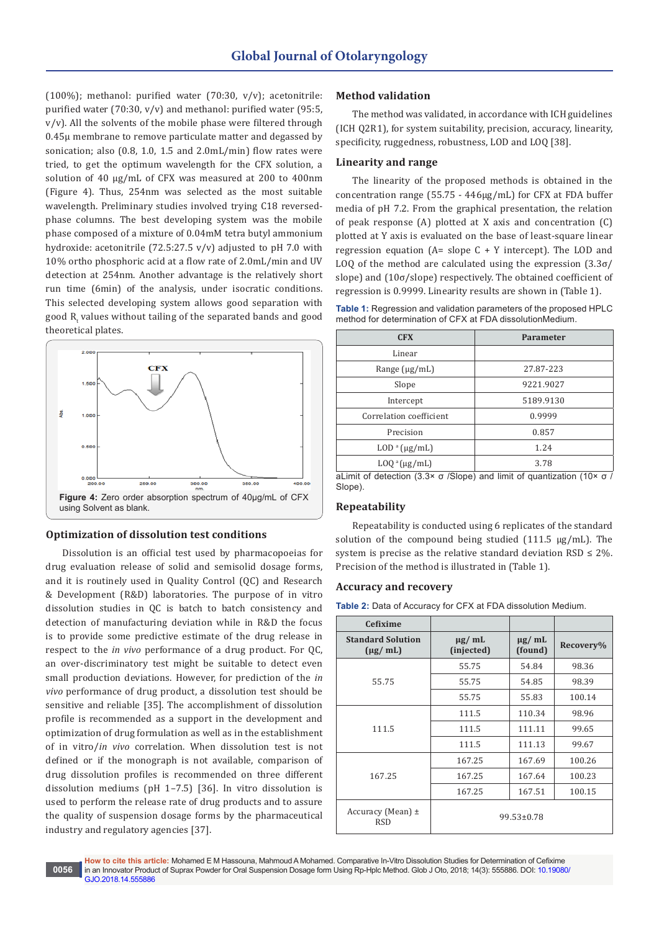(100%); methanol: purified water (70:30,  $v/v$ ); acetonitrile: purified water (70:30, v/v) and methanol: purified water (95:5, v/v). All the solvents of the mobile phase were filtered through 0.45μ membrane to remove particulate matter and degassed by sonication; also (0.8, 1.0, 1.5 and 2.0mL/min) flow rates were tried, to get the optimum wavelength for the CFX solution, a solution of 40 µg/mL of CFX was measured at 200 to 400nm (Figure 4). Thus, 254nm was selected as the most suitable wavelength. Preliminary studies involved trying C18 reversedphase columns. The best developing system was the mobile phase composed of a mixture of 0.04mM tetra butyl ammonium hydroxide: acetonitrile (72.5:27.5 v/v) adjusted to pH 7.0 with 10% ortho phosphoric acid at a flow rate of 2.0mL/min and UV detection at 254nm. Another advantage is the relatively short run time (6min) of the analysis, under isocratic conditions. This selected developing system allows good separation with good  $R_t$  values without tailing of the separated bands and good theoretical plates.



# **Optimization of dissolution test conditions**

Dissolution is an official test used by pharmacopoeias for drug evaluation release of solid and semisolid dosage forms, and it is routinely used in Quality Control (QC) and Research & Development (R&D) laboratories. The purpose of in vitro dissolution studies in QC is batch to batch consistency and detection of manufacturing deviation while in R&D the focus is to provide some predictive estimate of the drug release in respect to the *in vivo* performance of a drug product. For QC, an over-discriminatory test might be suitable to detect even small production deviations. However, for prediction of the *in vivo* performance of drug product, a dissolution test should be sensitive and reliable [35]. The accomplishment of dissolution profile is recommended as a support in the development and optimization of drug formulation as well as in the establishment of in vitro/*in vivo* correlation. When dissolution test is not defined or if the monograph is not available, comparison of drug dissolution profiles is recommended on three different dissolution mediums (pH 1–7.5) [36]. In vitro dissolution is used to perform the release rate of drug products and to assure the quality of suspension dosage forms by the pharmaceutical industry and regulatory agencies [37].

# **Method validation**

The method was validated, in accordance with ICH guidelines (ICH Q2R1), for system suitability, precision, accuracy, linearity, specificity, ruggedness, robustness, LOD and LOQ [38].

# **Linearity and range**

The linearity of the proposed methods is obtained in the concentration range (55.75 - 446µg/mL) for CFX at FDA buffer media of pH 7.2. From the graphical presentation, the relation of peak response (A) plotted at X axis and concentration (C) plotted at Y axis is evaluated on the base of least-square linear regression equation  $(A= slope C + Y$  intercept). The LOD and LOQ of the method are calculated using the expression  $(3.3\sigma)$ slope) and (10σ/slope) respectively. The obtained coefficient of regression is 0.9999. Linearity results are shown in (Table 1).

**Table 1:** Regression and validation parameters of the proposed HPLC method for determination of CFX at FDA dissolutionMedium.

| <b>CFX</b>              | Parameter |
|-------------------------|-----------|
| Linear                  |           |
| Range $(\mu g/mL)$      | 27.87-223 |
| Slope                   | 9221.9027 |
| Intercept               | 5189.9130 |
| Correlation coefficient | 0.9999    |
| Precision               | 0.857     |
| $LOD^a(\mu g/mL)$       | 1.24      |
| $LOQ^a(\mu g/mL)$       | 3.78      |

aLimit of detection (3.3× σ /Slope) and limit of quantization (10× σ / Slope).

## **Repeatability**

Repeatability is conducted using 6 replicates of the standard solution of the compound being studied (111.5 μg/mL). The system is precise as the relative standard deviation  $RSD \leq 2\%$ . Precision of the method is illustrated in (Table 1).

# **Accuracy and recovery**

**Table 2:** Data of Accuracy for CFX at FDA dissolution Medium.

| <b>Cefixime</b>                                   |                           |                        |           |
|---------------------------------------------------|---------------------------|------------------------|-----------|
| <b>Standard Solution</b><br>$(\mu g / \text{mL})$ | $\mu$ g/ mL<br>(injected) | $\mu$ g/ mL<br>(found) | Recovery% |
|                                                   | 55.75                     | 54.84                  | 98.36     |
| 55.75                                             | 55.75                     | 54.85                  | 98.39     |
|                                                   | 55.75                     | 55.83                  | 100.14    |
|                                                   | 111.5                     | 110.34                 | 98.96     |
| 111.5                                             | 111.5                     | 111.11                 | 99.65     |
|                                                   | 111.5                     | 111.13                 | 99.67     |
|                                                   | 167.25                    | 167.69                 | 100.26    |
| 167.25                                            | 167.25                    | 167.64                 | 100.23    |
|                                                   | 167.25                    | 167.51                 | 100.15    |
| Accuracy (Mean) $\pm$<br><b>RSD</b>               |                           | $99.53 \pm 0.78$       |           |

**How to cite this article:** Mohamed E M Hassouna, Mahmoud A Mohamed. Comparative In-Vitro Dissolution Studies for Determination of Cefixime in an Innovator Product of Suprax Powder for Oral Suspension Dosage form Using Rp-Hplc Method. Glob J Oto, 2018; 14(3): 555886. DOI: [10.19080/](http://dx.doi.org/10.19080/GJO.2018.14.555886) [GJO.2018.14.555886](http://dx.doi.org/10.19080/GJO.2018.14.555886)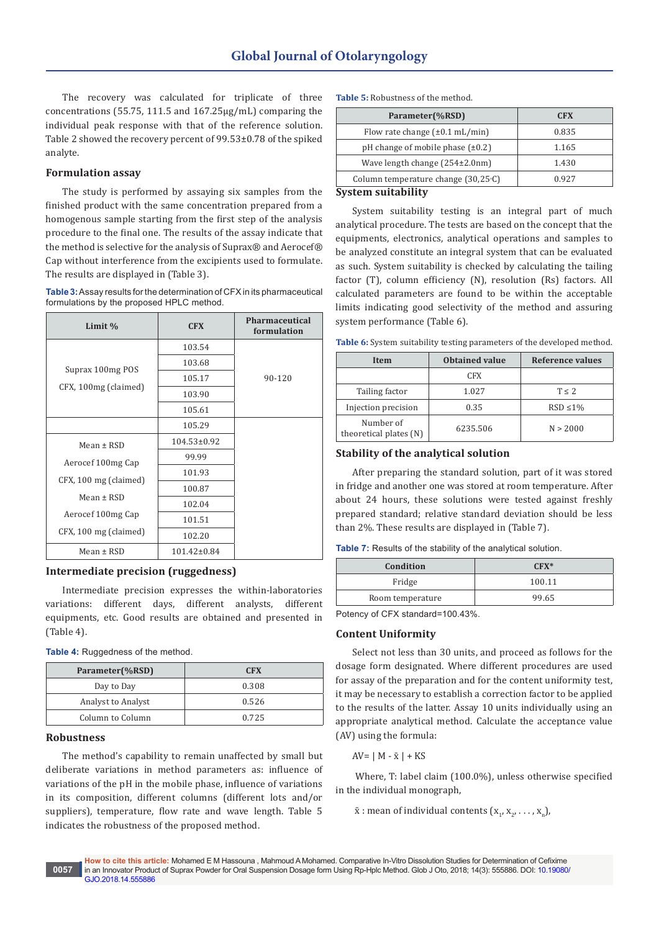The recovery was calculated for triplicate of three concentrations (55.75, 111.5 and 167.25μg/mL) comparing the individual peak response with that of the reference solution. Table 2 showed the recovery percent of 99.53±0.78 of the spiked analyte.

## **Formulation assay**

The study is performed by assaying six samples from the finished product with the same concentration prepared from a homogenous sample starting from the first step of the analysis procedure to the final one. The results of the assay indicate that the method is selective for the analysis of Suprax® and Aerocef® Cap without interference from the excipients used to formulate. The results are displayed in (Table 3).

**Table 3:** Assay results for the determination of CFX in its pharmaceutical formulations by the proposed HPLC method.

| Limit %               | <b>CFX</b>        | Pharmaceutical<br>formulation |
|-----------------------|-------------------|-------------------------------|
|                       | 103.54            |                               |
| Suprax 100mg POS      | 103.68            |                               |
|                       | 105.17            | $90 - 120$                    |
| CFX, 100mg (claimed)  | 103.90            |                               |
|                       | 105.61            |                               |
|                       | 105.29            |                               |
| $Mean \pm RSD$        | $104.53 \pm 0.92$ |                               |
| Aerocef 100mg Cap     | 99.99             |                               |
| CFX, 100 mg (claimed) | 101.93            |                               |
|                       | 100.87            |                               |
| Mean $\pm$ RSD        | 102.04            |                               |
| Aerocef 100mg Cap     | 101.51            |                               |
| CFX, 100 mg (claimed) | 102.20            |                               |
| $Mean \pm RSD$        | $101.42 \pm 0.84$ |                               |

## **Intermediate precision (ruggedness)**

Intermediate precision expresses the within-laboratories variations: different days, different analysts, different equipments, etc. Good results are obtained and presented in (Table 4).

| <b>Table 4:</b> Ruggedness of the method. |  |  |
|-------------------------------------------|--|--|
|-------------------------------------------|--|--|

| Parameter(%RSD)    | <b>CFX</b> |
|--------------------|------------|
| Day to Day         | 0.308      |
| Analyst to Analyst | 0.526      |
| Column to Column   | 0.725      |

#### **Robustness**

The method's capability to remain unaffected by small but deliberate variations in method parameters as: influence of variations of the pH in the mobile phase, influence of variations in its composition, different columns (different lots and/or suppliers), temperature, flow rate and wave length. Table 5 indicates the robustness of the proposed method.

|  | <b>Table 5: Robustness of the method.</b> |  |  |
|--|-------------------------------------------|--|--|
|  |                                           |  |  |
|  |                                           |  |  |
|  |                                           |  |  |

| Parameter(%RSD)                             | <b>CFX</b> |
|---------------------------------------------|------------|
| Flow rate change $(\pm 0.1 \text{ mL/min})$ | 0.835      |
| pH change of mobile phase $(\pm 0.2)$       | 1.165      |
| Wave length change (254±2.0nm)              | 1.430      |
| Column temperature change $(30,25)$ °C)     | 0.927      |
| $\overline{\phantom{0}}$                    |            |

#### **System suitability**

System suitability testing is an integral part of much analytical procedure. The tests are based on the concept that the equipments, electronics, analytical operations and samples to be analyzed constitute an integral system that can be evaluated as such. System suitability is checked by calculating the tailing factor (T), column efficiency (N), resolution (Rs) factors. All calculated parameters are found to be within the acceptable limits indicating good selectivity of the method and assuring system performance (Table 6).

**Table 6:** System suitability testing parameters of the developed method.

| Item                                | Obtained value | Reference values |
|-------------------------------------|----------------|------------------|
|                                     | CFX.           |                  |
| Tailing factor                      | 1.027          | T < 2            |
| Injection precision                 | 0.35           | $RSD \leq 1\%$   |
| Number of<br>theoretical plates (N) | 6235.506       | N > 2000         |

# **Stability of the analytical solution**

After preparing the standard solution, part of it was stored in fridge and another one was stored at room temperature. After about 24 hours, these solutions were tested against freshly prepared standard; relative standard deviation should be less than 2%. These results are displayed in (Table 7).

| Table 7: Results of the stability of the analytical solution. |  |  |  |  |  |
|---------------------------------------------------------------|--|--|--|--|--|
|---------------------------------------------------------------|--|--|--|--|--|

| Condition        | $CFX*$ |
|------------------|--------|
| Fridge           | 100.11 |
| Room temperature | 99.65  |

Potency of CFX standard=100.43%.

# **Content Uniformity**

Select not less than 30 units, and proceed as follows for the dosage form designated. Where different procedures are used for assay of the preparation and for the content uniformity test, it may be necessary to establish a correction factor to be applied to the results of the latter. Assay 10 units individually using an appropriate analytical method. Calculate the acceptance value (AV) using the formula:

 $AV=$  | M -  $\bar{x}$  | + KS

 Where, T: label claim (100.0%), unless otherwise specified in the individual monograph,

 $\bar{x}$  : mean of individual contents  $(x_1, x_2, \ldots, x_n)$ ,

**How to cite this article:** Mohamed E M Hassouna , Mahmoud A Mohamed. Comparative In-Vitro Dissolution Studies for Determination of Cefixime in an Innovator Product of Suprax Powder for Oral Suspension Dosage form Using Rp-Hplc Method. Glob J Oto, 2018; 14(3): 555886. DOI: [10.19080/](http://dx.doi.org/10.19080/GJO.2018.14.555886) [GJO.2018.14.555886](http://dx.doi.org/10.19080/GJO.2018.14.555886) **0057**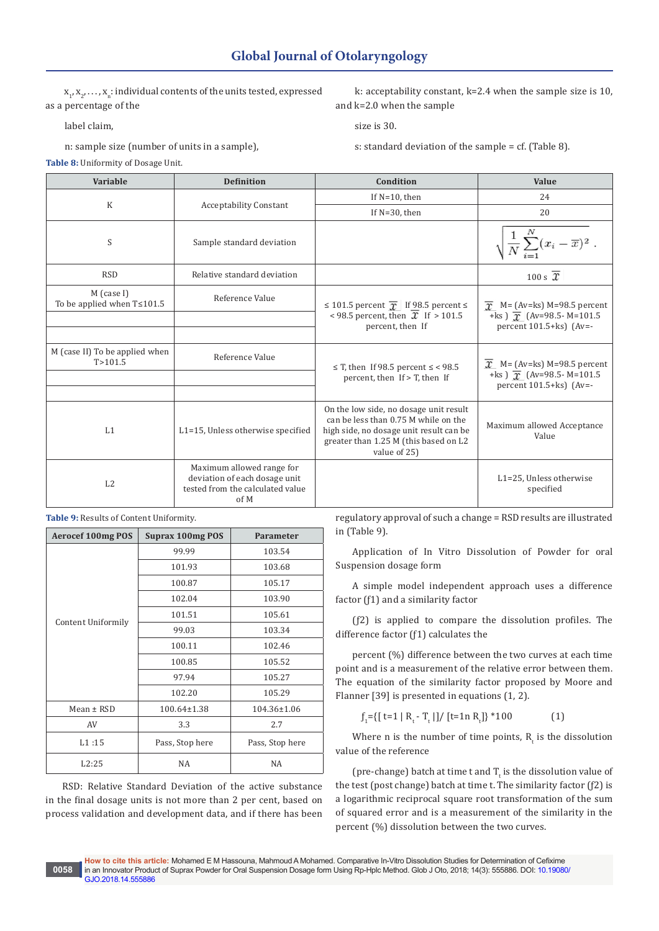**Variable Definition Condition Value**

 $x_1, x_2, \ldots, x_n$ : individual contents of the units tested, expressed as a percentage of the

label claim,

n: sample size (number of units in a sample),

**Table 8:** Uniformity of Dosage Unit.

regulatory approval of such a change = RSD results are illustrated in (Table 9).

Application of In Vitro Dissolution of Powder for oral

A simple model independent approach uses a difference

(ƒ2) is applied to compare the dissolution profiles. The difference factor (ƒ1) calculates the

percent (%) difference between the two curves at each time point and is a measurement of the relative error between them. The equation of the similarity factor proposed by Moore and Flanner [39] is presented in equations (1, 2).

 $J_1 = \{ [t=1 | R_t - T_t]] / [t=1 n R_t] \}$ \*100 (1)

Where n is the number of time points,  $R_t$  is the dissolution value of the reference

(pre-change) batch at time  $t$  and  $T_t$  is the dissolution value of the test (post change) batch at time t. The similarity factor (ƒ2) is a logarithmic reciprocal square root transformation of the sum of squared error and is a measurement of the similarity in the

# **Table 9:** Results of Content Uniformity.

**0058**

| <b>Aerocef 100mg POS</b> | <b>Suprax 100mg POS</b> | Parameter       |
|--------------------------|-------------------------|-----------------|
|                          | 99.99                   | 103.54          |
|                          | 101.93                  | 103.68          |
|                          | 100.87                  | 105.17          |
|                          | 102.04                  | 103.90          |
|                          | 101.51                  | 105.61          |
| Content Uniformily       | 99.03                   | 103.34          |
|                          | 100.11                  | 102.46          |
|                          | 100.85                  | 105.52          |
|                          | 97.94                   | 105.27          |
|                          | 102.20                  | 105.29          |
| $Mean \pm RSD$           | 100.64±1.38             | 104.36±1.06     |
| AV                       | 3.3                     | 2.7             |
| L1:15                    | Pass, Stop here         | Pass, Stop here |
| L2:25                    | <b>NA</b>               | <b>NA</b>       |

RSD: Relative Standard Deviation of the active substance in the final dosage units is not more than 2 per cent, based on process validation and development data, and if there has been

| To be applied when $T \le 101.5$          | Reference Value                                                                                | ≤ 101.5 percent $\bar{x}$ If 98.5 percent ≤<br><98.5 percent, then $\mathcal{X}$ If > 101.5<br>percent, then If                                                                    | $\overline{x}$ M= (Av=ks) M=98.5 percent<br>+ks $\sqrt{x}$ (Av=98.5 - M=101.5)<br>percent $101.5+ks$ ) (Av=- |
|-------------------------------------------|------------------------------------------------------------------------------------------------|------------------------------------------------------------------------------------------------------------------------------------------------------------------------------------|--------------------------------------------------------------------------------------------------------------|
| M (case II) To be applied when<br>T>101.5 | Reference Value                                                                                | $\leq$ T, then If 98.5 percent $\leq$ < 98.5                                                                                                                                       | $\mathcal{X}$ M= (Av=ks) M=98.5 percent                                                                      |
|                                           |                                                                                                | percent, then If $>$ T, then If                                                                                                                                                    | +ks $\sqrt{x}$ (Av=98.5 - M=101.5)<br>percent $101.5+ks$ (Av=-                                               |
| L1                                        | L1=15, Unless otherwise specified                                                              | On the low side, no dosage unit result<br>can be less than 0.75 M while on the<br>high side, no dosage unit result can be<br>greater than 1.25 M (this based on L2<br>value of 25) | Maximum allowed Acceptance<br>Value                                                                          |
| L <sub>2</sub>                            | Maximum allowed range for<br>deviation of each dosage unit<br>tested from the calculated value |                                                                                                                                                                                    | L1=25, Unless otherwise<br>snecified                                                                         |

Suspension dosage form factor (ƒ1) and a similarity factor

RSD Relative standard deviation  $100 \text{ s } \overline{x}$ M (case I)

> tested from the calculated value of M

K Acceptability Constant

S Sample standard deviation

 k: acceptability constant, k=2.4 when the sample size is 10, and k=2.0 when the sample

size is 30.

s: standard deviation of the sample = cf. (Table 8).

If  $N=10$ , then 24 If  $N=30$ , then 20

N

 $\overline{\overline{N}}$ 

 $(x_i-\overline{x})^2$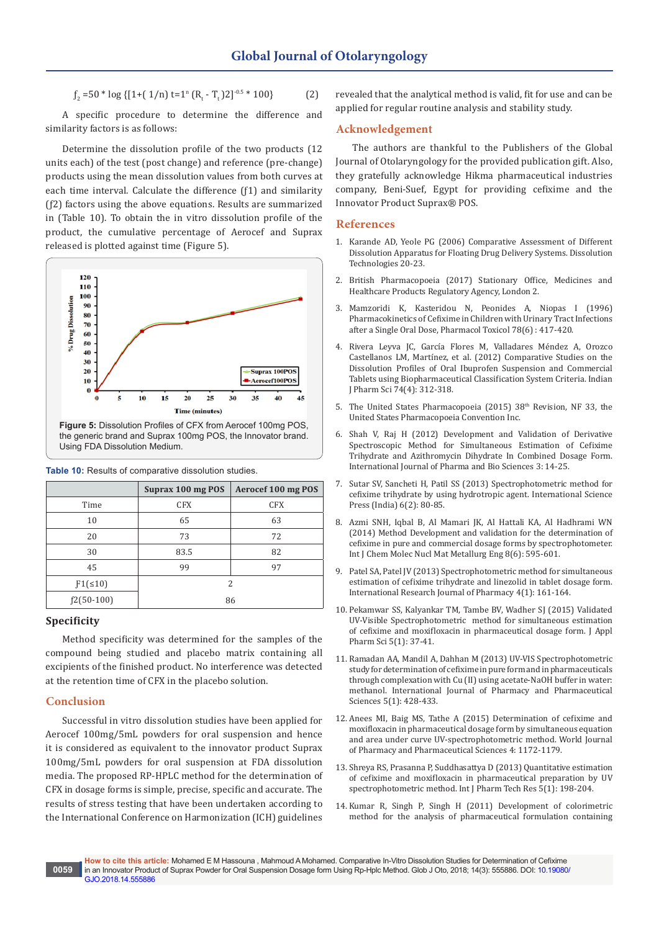$$
f_2 = 50 * \log \{ [1 + (1/n) t = 1^n (R_t - T_t) 2]^{-0.5} * 100 \}
$$
 (2)

A specific procedure to determine the difference and similarity factors is as follows:

Determine the dissolution profile of the two products (12 units each) of the test (post change) and reference (pre-change) products using the mean dissolution values from both curves at each time interval. Calculate the difference (ƒ1) and similarity (ƒ2) factors using the above equations. Results are summarized in (Table 10). To obtain the in vitro dissolution profile of the product, the cumulative percentage of Aerocef and Suprax released is plotted against time (Figure 5).



|               | Suprax 100 mg POS | Aerocef 100 mg POS |
|---------------|-------------------|--------------------|
| Time          | <b>CFX</b>        | <b>CFX</b>         |
| 10            | 65                | 63                 |
| 20            | 73                | 72                 |
| 30            | 83.5              | 82                 |
| 45            | 99                | 97                 |
| $F1( \le 10)$ | 2                 |                    |
| $f2(50-100)$  | 86                |                    |

# **Table 10:** Results of comparative dissolution studies.

# **Specificity**

Method specificity was determined for the samples of the compound being studied and placebo matrix containing all excipients of the finished product. No interference was detected at the retention time of CFX in the placebo solution.

# **Conclusion**

Successful in vitro dissolution studies have been applied for Aerocef 100mg/5mL powders for oral suspension and hence it is considered as equivalent to the innovator product Suprax 100mg/5mL powders for oral suspension at FDA dissolution media. The proposed RP-HPLC method for the determination of CFX in dosage forms is simple, precise, specific and accurate. The results of stress testing that have been undertaken according to the International Conference on Harmonization (ICH) guidelines

revealed that the analytical method is valid, fit for use and can be applied for regular routine analysis and stability study.

## **Acknowledgement**

The authors are thankful to the Publishers of the Global Journal of Otolaryngology for the provided publication gift. Also, they gratefully acknowledge Hikma pharmaceutical industries company, Beni-Suef, Egypt for providing cefixime and the Innovator Product Suprax® POS.

#### **References**

- 1. [Karande AD, Yeole PG \(2006\) Comparative Assessment of Different](http://www.dissolutiontech.com/DTresour/200602Articles/DT200602_A03.pdf)  [Dissolution Apparatus for Floating Drug Delivery Systems. Dissolution](http://www.dissolutiontech.com/DTresour/200602Articles/DT200602_A03.pdf)  [Technologies 20-23.](http://www.dissolutiontech.com/DTresour/200602Articles/DT200602_A03.pdf)
- 2. [British Pharmacopoeia \(2017\) Stationary Office, Medicines and](https://www.tsoshop.co.uk/MHRA/British-Pharmacopoeia-2017/?AF=A10096&FO=1355691)  [Healthcare Products Regulatory Agency, London 2.](https://www.tsoshop.co.uk/MHRA/British-Pharmacopoeia-2017/?AF=A10096&FO=1355691)
- 3. [Mamzoridi K, Kasteridou N, Peonides A, Niopas I \(1996\)](https://www.ncbi.nlm.nih.gov/pubmed/8829204)  [Pharmacokinetics of Cefixime in Children with Urinary Tract Infections](https://www.ncbi.nlm.nih.gov/pubmed/8829204)  [after a Single Oral Dose, Pharmacol Toxicol 78\(6\) : 417-420.](https://www.ncbi.nlm.nih.gov/pubmed/8829204)
- 4. [Rivera Leyva JC, García Flores M, Valladares Méndez A, Orozco](https://www.ncbi.nlm.nih.gov/pmc/articles/PMC3630726/)  [Castellanos LM, Martínez, et al. \(2012\) Comparative Studies on the](https://www.ncbi.nlm.nih.gov/pmc/articles/PMC3630726/)  [Dissolution Profiles of Oral Ibuprofen Suspension and Commercial](https://www.ncbi.nlm.nih.gov/pmc/articles/PMC3630726/)  [Tablets using Biopharmaceutical Classification System Criteria. Indian](https://www.ncbi.nlm.nih.gov/pmc/articles/PMC3630726/)  [J Pharm Sci 74\(4\): 312-318.](https://www.ncbi.nlm.nih.gov/pmc/articles/PMC3630726/)
- 5. [The United States Pharmacopoeia \(2015\) 38](http://www.usp.org/sites/default/files/usp/document/our-work/DS/dsc-jun2015.pdf)<sup>th</sup> Revision, NF 33, the [United States Pharmacopoeia Convention Inc.](http://www.usp.org/sites/default/files/usp/document/our-work/DS/dsc-jun2015.pdf)
- 6. Shah V, Raj H (2012) Development and Validation of Derivative Spectroscopic Method for Simultaneous Estimation of Cefixime Trihydrate and Azithromycin Dihydrate In Combined Dosage Form. International Journal of Pharma and Bio Sciences 3: 14-25.
- 7. [Sutar SV, Sancheti H, Patil SS \(2013\) Spectrophotometric method for](http://serialsjournals.com/serialjournalmanager/pdf/1374313607.pdf)  [cefixime trihydrate by using hydrotropic agent. International Science](http://serialsjournals.com/serialjournalmanager/pdf/1374313607.pdf)  [Press \(India\) 6\(2\): 80-85.](http://serialsjournals.com/serialjournalmanager/pdf/1374313607.pdf)
- 8. Azmi SNH, Iqbal B, Al Mamari JK, Al Hattali KA, Al Hadhrami WN (2014) Method Development and validation for the determination of cefixime in pure and commercial dosage forms by spectrophotometer. Int J Chem Molec Nucl Mat Metallurg Eng 8(6): 595-601.
- 9. [Patel SA, Patel JV \(2013\) Spectrophotometric method for simultaneous](https://www.researchgate.net/publication/258375593_Spectrophotometric_Method_for_Simultaneous_Estimation_of_Cefixime_trihydrate_and_Linezolid_in_tablet_dosage_form)  [estimation of cefixime trihydrate and linezolid in tablet dosage form.](https://www.researchgate.net/publication/258375593_Spectrophotometric_Method_for_Simultaneous_Estimation_of_Cefixime_trihydrate_and_Linezolid_in_tablet_dosage_form)  [International Research Journal of Pharmacy 4\(1\): 161-164.](https://www.researchgate.net/publication/258375593_Spectrophotometric_Method_for_Simultaneous_Estimation_of_Cefixime_trihydrate_and_Linezolid_in_tablet_dosage_form)
- 10. [Pekamwar SS, Kalyankar TM, Tambe BV, Wadher SJ \(2015\) Validated](http://japsonline.com/admin/php/uploads/1410_pdf.pdf)  [UV-Visible Spectrophotometric method for simultaneous estimation](http://japsonline.com/admin/php/uploads/1410_pdf.pdf)  [of cefixime and moxifloxacin in pharmaceutical dosage form. J Appl](http://japsonline.com/admin/php/uploads/1410_pdf.pdf)  [Pharm Sci 5\(1\): 37-41.](http://japsonline.com/admin/php/uploads/1410_pdf.pdf)
- 11. [Ramadan AA, Mandil A, Dahhan M \(2013\) UV-VIS Spectrophotometric](https://www.researchgate.net/publication/285898404_UV-VIS_spectrophotometric_study_for_determination_of_cefixime_in_pure_form_and_in_pharmaceuticals_through_complexation_with_CuII_using_acetate-NaOH_bufferin_water_Methanol)  [study for determination of cefixime in pure form and in pharmaceuticals](https://www.researchgate.net/publication/285898404_UV-VIS_spectrophotometric_study_for_determination_of_cefixime_in_pure_form_and_in_pharmaceuticals_through_complexation_with_CuII_using_acetate-NaOH_bufferin_water_Methanol)  [through complexation with Cu \(II\) using acetate-NaOH buffer in water:](https://www.researchgate.net/publication/285898404_UV-VIS_spectrophotometric_study_for_determination_of_cefixime_in_pure_form_and_in_pharmaceuticals_through_complexation_with_CuII_using_acetate-NaOH_bufferin_water_Methanol)  [methanol. International Journal of Pharmacy and Pharmaceutical](https://www.researchgate.net/publication/285898404_UV-VIS_spectrophotometric_study_for_determination_of_cefixime_in_pure_form_and_in_pharmaceuticals_through_complexation_with_CuII_using_acetate-NaOH_bufferin_water_Methanol)  [Sciences 5\(1\): 428-433.](https://www.researchgate.net/publication/285898404_UV-VIS_spectrophotometric_study_for_determination_of_cefixime_in_pure_form_and_in_pharmaceuticals_through_complexation_with_CuII_using_acetate-NaOH_bufferin_water_Methanol)
- 12. Anees MI, Baig MS, Tathe A (2015) Determination of cefixime and moxifloxacin in pharmaceutical dosage form by simultaneous equation and area under curve UV-spectrophotometric method. World Journal of Pharmacy and Pharmaceutical Sciences 4: 1172-1179.
- 13. [Shreya RS, Prasanna P, Suddhasattya D \(2013\) Quantitative estimation](http://sphinxsai.com/2013/janmar/pharmpdf/PT=28(198-204)JM13.pdf)  [of cefixime and moxifloxacin in pharmaceutical preparation by UV](http://sphinxsai.com/2013/janmar/pharmpdf/PT=28(198-204)JM13.pdf)  [spectrophotometric method. Int J Pharm Tech Res 5\(1\): 198-204.](http://sphinxsai.com/2013/janmar/pharmpdf/PT=28(198-204)JM13.pdf)
- 14. [Kumar R, Singh P, Singh H \(2011\) Development of colorimetric](http://www.ijppsjournal.com/Vol3Suppl2/1171.pdf)  [method for the analysis of pharmaceutical formulation containing](http://www.ijppsjournal.com/Vol3Suppl2/1171.pdf)

**How to cite this article:** Mohamed E M Hassouna , Mahmoud A Mohamed. Comparative In-Vitro Dissolution Studies for Determination of Cefixime in an Innovator Product of Suprax Powder for Oral Suspension Dosage form Using Rp-Hplc Method. Glob J Oto, 2018; 14(3): 555886. DOI: [10.19080/](http://dx.doi.org/10.19080/GJO.2018.14.555886) [GJO.2018.14.555886](http://dx.doi.org/10.19080/GJO.2018.14.555886)